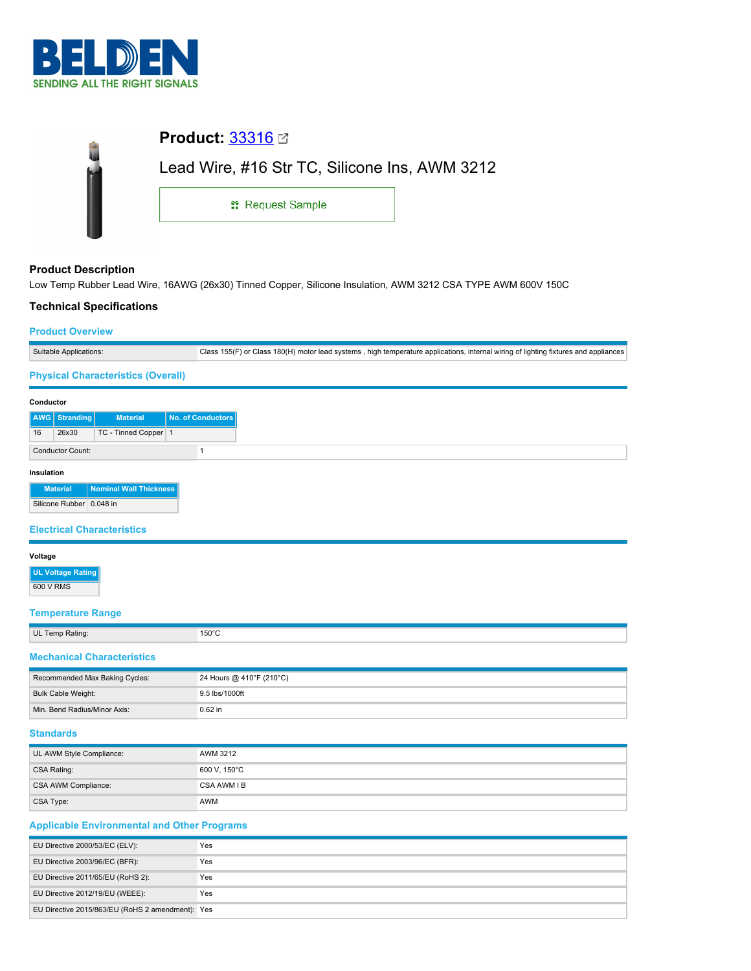

|                            | <b>Product: 33316 ⊠</b>                       |  |
|----------------------------|-----------------------------------------------|--|
|                            | Lead Wire, #16 Str TC, Silicone Ins, AWM 3212 |  |
|                            | <sub>11</sub> Request Sample                  |  |
|                            |                                               |  |
| <b>Product Description</b> |                                               |  |

Low Temp Rubber Lead Wire, 16AWG (26x30) Tinned Copper, Silicone Insulation, AWM 3212 CSA TYPE AWM 600V 150C

## **Technical Specifications**

#### **Product Overview**

| Suitable Applications:                    | Class 155(F) or Class 180(H) motor lead systems, high temperature applications, internal wiring of lighting fixtures and appliances |
|-------------------------------------------|-------------------------------------------------------------------------------------------------------------------------------------|
| <b>Physical Characteristics (Overall)</b> |                                                                                                                                     |

#### **Conductor**

| .          |                         |                        |                   |  |
|------------|-------------------------|------------------------|-------------------|--|
|            | AWG Stranding           | <b>Material</b>        | No. of Conductors |  |
| 16         | 26x30                   | TC - Tinned Copper 1   |                   |  |
|            | <b>Conductor Count:</b> |                        |                   |  |
| Insulation |                         |                        |                   |  |
|            | <b>Material</b>         | Nominal Wall Thickness |                   |  |

Silicone Rubber 0.048 in

## **Electrical Characteristics**

#### **Voltage**

**UL Voltage Rating** 600 V RMS

# **Temperature Range**

|  | UL Temp Rating: |
|--|-----------------|
|  |                 |

#### **Mechanical Characteristics**

| Recommended Max Baking Cycles: | 24 Hours @ 410°F (210°C) |
|--------------------------------|--------------------------|
| Bulk Cable Weight:             | 9.5 lbs/1000ft           |
| Min. Bend Radius/Minor Axis:   | $0.62$ in                |

### **Standards**

| UL AWM Style Compliance: | AWM 3212     |
|--------------------------|--------------|
| CSA Rating:              | 600 V, 150°C |
| CSA AWM Compliance:      | CSA AWM I B  |
| CSA Type:                | AWM          |

### **Applicable Environmental and Other Programs**

 $150^{\circ}$ C

| EU Directive 2000/53/EC (ELV):                   | Yes |
|--------------------------------------------------|-----|
| EU Directive 2003/96/EC (BFR):                   | Yes |
| EU Directive 2011/65/EU (RoHS 2):                | Yes |
| EU Directive 2012/19/EU (WEEE):                  | Yes |
| EU Directive 2015/863/EU (RoHS 2 amendment): Yes |     |